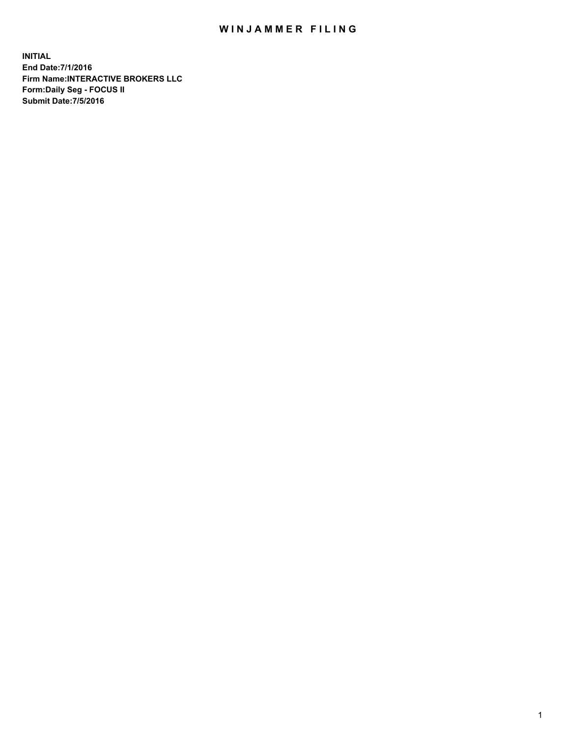## WIN JAMMER FILING

**INITIAL End Date:7/1/2016 Firm Name:INTERACTIVE BROKERS LLC Form:Daily Seg - FOCUS II Submit Date:7/5/2016**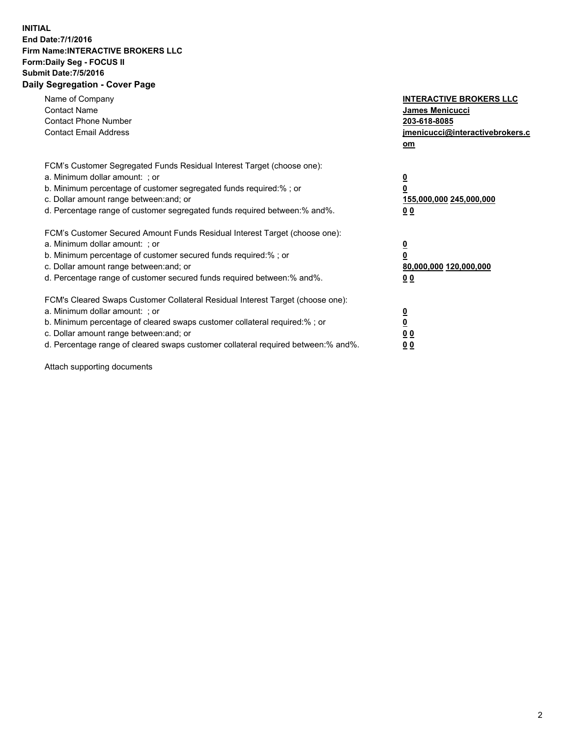## **INITIAL End Date:7/1/2016 Firm Name:INTERACTIVE BROKERS LLC Form:Daily Seg - FOCUS II Submit Date:7/5/2016 Daily Segregation - Cover Page**

| Name of Company<br><b>Contact Name</b><br><b>Contact Phone Number</b><br><b>Contact Email Address</b>                                                                                                                                                                                                                          | <b>INTERACTIVE BROKERS LLC</b><br>James Menicucci<br>203-618-8085<br>jmenicucci@interactivebrokers.c<br>om |
|--------------------------------------------------------------------------------------------------------------------------------------------------------------------------------------------------------------------------------------------------------------------------------------------------------------------------------|------------------------------------------------------------------------------------------------------------|
| FCM's Customer Segregated Funds Residual Interest Target (choose one):<br>a. Minimum dollar amount: ; or<br>b. Minimum percentage of customer segregated funds required:%; or<br>c. Dollar amount range between: and; or<br>d. Percentage range of customer segregated funds required between:% and%.                          | $\overline{\mathbf{0}}$<br>$\overline{\mathbf{0}}$<br>155,000,000 245,000,000<br>0 <sub>0</sub>            |
| FCM's Customer Secured Amount Funds Residual Interest Target (choose one):<br>a. Minimum dollar amount: ; or<br>b. Minimum percentage of customer secured funds required:%; or<br>c. Dollar amount range between: and; or<br>d. Percentage range of customer secured funds required between: % and %.                          | $\overline{\mathbf{0}}$<br>$\overline{\mathbf{0}}$<br>80,000,000 120,000,000<br>0 <sub>0</sub>             |
| FCM's Cleared Swaps Customer Collateral Residual Interest Target (choose one):<br>a. Minimum dollar amount: ; or<br>b. Minimum percentage of cleared swaps customer collateral required:% ; or<br>c. Dollar amount range between: and; or<br>d. Percentage range of cleared swaps customer collateral required between:% and%. | $\overline{\mathbf{0}}$<br>$\underline{\mathbf{0}}$<br>0 <sub>0</sub><br>0 <sup>0</sup>                    |

Attach supporting documents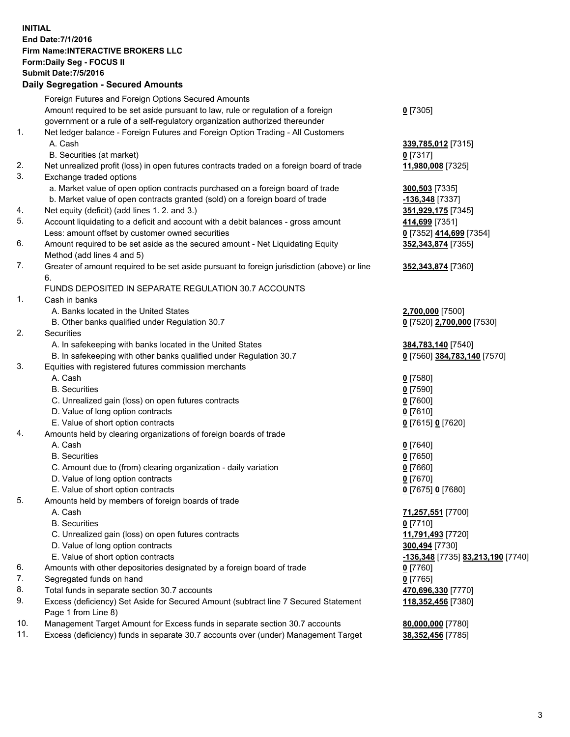## **INITIAL End Date:7/1/2016 Firm Name:INTERACTIVE BROKERS LLC Form:Daily Seg - FOCUS II Submit Date:7/5/2016 Daily Segregation - Secured Amounts**

|     | Foreign Futures and Foreign Options Secured Amounts                                         |                                   |
|-----|---------------------------------------------------------------------------------------------|-----------------------------------|
|     | Amount required to be set aside pursuant to law, rule or regulation of a foreign            | $0$ [7305]                        |
|     | government or a rule of a self-regulatory organization authorized thereunder                |                                   |
| 1.  | Net ledger balance - Foreign Futures and Foreign Option Trading - All Customers             |                                   |
|     | A. Cash                                                                                     | 339,785,012 [7315]                |
|     | B. Securities (at market)                                                                   | $0$ [7317]                        |
| 2.  | Net unrealized profit (loss) in open futures contracts traded on a foreign board of trade   | 11,980,008 [7325]                 |
| 3.  | Exchange traded options                                                                     |                                   |
|     | a. Market value of open option contracts purchased on a foreign board of trade              | 300,503 [7335]                    |
|     | b. Market value of open contracts granted (sold) on a foreign board of trade                | -136,348 [7337]                   |
| 4.  | Net equity (deficit) (add lines 1.2. and 3.)                                                | 351,929,175 [7345]                |
| 5.  | Account liquidating to a deficit and account with a debit balances - gross amount           | 414,699 [7351]                    |
|     | Less: amount offset by customer owned securities                                            | 0 [7352] 414,699 [7354]           |
| 6.  |                                                                                             |                                   |
|     | Amount required to be set aside as the secured amount - Net Liquidating Equity              | 352, 343, 874 [7355]              |
|     | Method (add lines 4 and 5)                                                                  |                                   |
| 7.  | Greater of amount required to be set aside pursuant to foreign jurisdiction (above) or line | 352, 343, 874 [7360]              |
|     | 6.                                                                                          |                                   |
|     | FUNDS DEPOSITED IN SEPARATE REGULATION 30.7 ACCOUNTS                                        |                                   |
| 1.  | Cash in banks                                                                               |                                   |
|     | A. Banks located in the United States                                                       | 2,700,000 [7500]                  |
|     | B. Other banks qualified under Regulation 30.7                                              | 0 [7520] 2,700,000 [7530]         |
| 2.  | Securities                                                                                  |                                   |
|     | A. In safekeeping with banks located in the United States                                   | 384,783,140 [7540]                |
|     | B. In safekeeping with other banks qualified under Regulation 30.7                          | 0 [7560] 384,783,140 [7570]       |
| 3.  | Equities with registered futures commission merchants                                       |                                   |
|     | A. Cash                                                                                     | $0$ [7580]                        |
|     | <b>B.</b> Securities                                                                        | $0$ [7590]                        |
|     | C. Unrealized gain (loss) on open futures contracts                                         | $0$ [7600]                        |
|     | D. Value of long option contracts                                                           | $0$ [7610]                        |
|     | E. Value of short option contracts                                                          | 0 [7615] 0 [7620]                 |
| 4.  | Amounts held by clearing organizations of foreign boards of trade                           |                                   |
|     | A. Cash                                                                                     | $0$ [7640]                        |
|     | <b>B.</b> Securities                                                                        | $0$ [7650]                        |
|     | C. Amount due to (from) clearing organization - daily variation                             | $0$ [7660]                        |
|     | D. Value of long option contracts                                                           | $0$ [7670]                        |
|     | E. Value of short option contracts                                                          | 0 [7675] 0 [7680]                 |
| 5.  | Amounts held by members of foreign boards of trade                                          |                                   |
|     | A. Cash                                                                                     | 71,257,551 [7700]                 |
|     | <b>B.</b> Securities                                                                        | $0$ [7710]                        |
|     | C. Unrealized gain (loss) on open futures contracts                                         | 11,791,493 [7720]                 |
|     | D. Value of long option contracts                                                           | 300,494 [7730]                    |
|     | E. Value of short option contracts                                                          | -136,348 [7735] 83,213,190 [7740] |
| 6.  | Amounts with other depositories designated by a foreign board of trade                      | $0$ [7760]                        |
| 7.  | Segregated funds on hand                                                                    | $0$ [7765]                        |
| 8.  | Total funds in separate section 30.7 accounts                                               | 470,696,330 [7770]                |
| 9.  | Excess (deficiency) Set Aside for Secured Amount (subtract line 7 Secured Statement         |                                   |
|     |                                                                                             | 118,352,456 [7380]                |
|     | Page 1 from Line 8)                                                                         |                                   |
| 10. | Management Target Amount for Excess funds in separate section 30.7 accounts                 | 80,000,000 [7780]                 |
| 11. | Excess (deficiency) funds in separate 30.7 accounts over (under) Management Target          | 38,352,456 [7785]                 |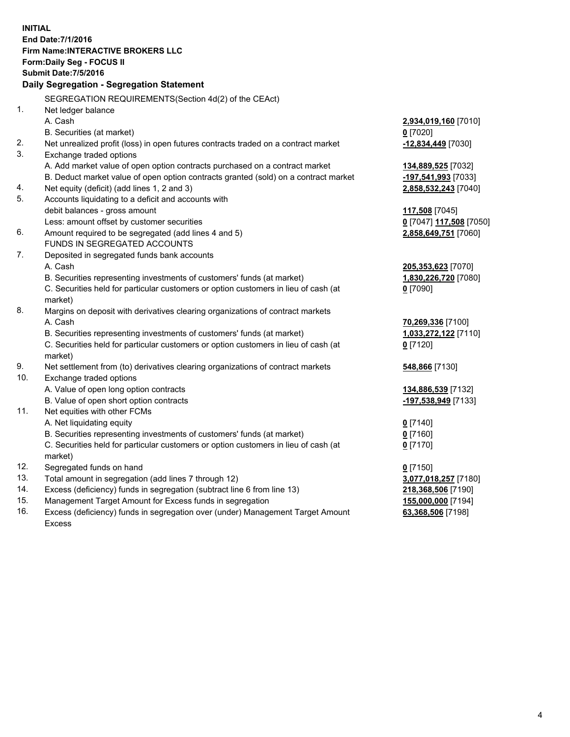**INITIAL End Date:7/1/2016 Firm Name:INTERACTIVE BROKERS LLC Form:Daily Seg - FOCUS II Submit Date:7/5/2016 Daily Segregation - Segregation Statement** SEGREGATION REQUIREMENTS(Section 4d(2) of the CEAct) 1. Net ledger balance A. Cash **2,934,019,160** [7010] B. Securities (at market) **0** [7020] 2. Net unrealized profit (loss) in open futures contracts traded on a contract market **-12,834,449** [7030] 3. Exchange traded options A. Add market value of open option contracts purchased on a contract market **134,889,525** [7032] B. Deduct market value of open option contracts granted (sold) on a contract market **-197,541,993** [7033] 4. Net equity (deficit) (add lines 1, 2 and 3) **2,858,532,243** [7040] 5. Accounts liquidating to a deficit and accounts with debit balances - gross amount **117,508** [7045] Less: amount offset by customer securities **0** [7047] **117,508** [7050] 6. Amount required to be segregated (add lines 4 and 5) **2,858,649,751** [7060] FUNDS IN SEGREGATED ACCOUNTS 7. Deposited in segregated funds bank accounts A. Cash **205,353,623** [7070] B. Securities representing investments of customers' funds (at market) **1,830,226,720** [7080] C. Securities held for particular customers or option customers in lieu of cash (at market) **0** [7090] 8. Margins on deposit with derivatives clearing organizations of contract markets A. Cash **70,269,336** [7100] B. Securities representing investments of customers' funds (at market) **1,033,272,122** [7110] C. Securities held for particular customers or option customers in lieu of cash (at market) **0** [7120] 9. Net settlement from (to) derivatives clearing organizations of contract markets **548,866** [7130] 10. Exchange traded options A. Value of open long option contracts **134,886,539** [7132] B. Value of open short option contracts **-197,538,949** [7133] 11. Net equities with other FCMs A. Net liquidating equity **0** [7140] B. Securities representing investments of customers' funds (at market) **0** [7160] C. Securities held for particular customers or option customers in lieu of cash (at market) **0** [7170] 12. Segregated funds on hand **0** [7150] 13. Total amount in segregation (add lines 7 through 12) **3,077,018,257** [7180] 14. Excess (deficiency) funds in segregation (subtract line 6 from line 13) **218,368,506** [7190] 15. Management Target Amount for Excess funds in segregation **155,000,000** [7194]

16. Excess (deficiency) funds in segregation over (under) Management Target Amount Excess

**63,368,506** [7198]